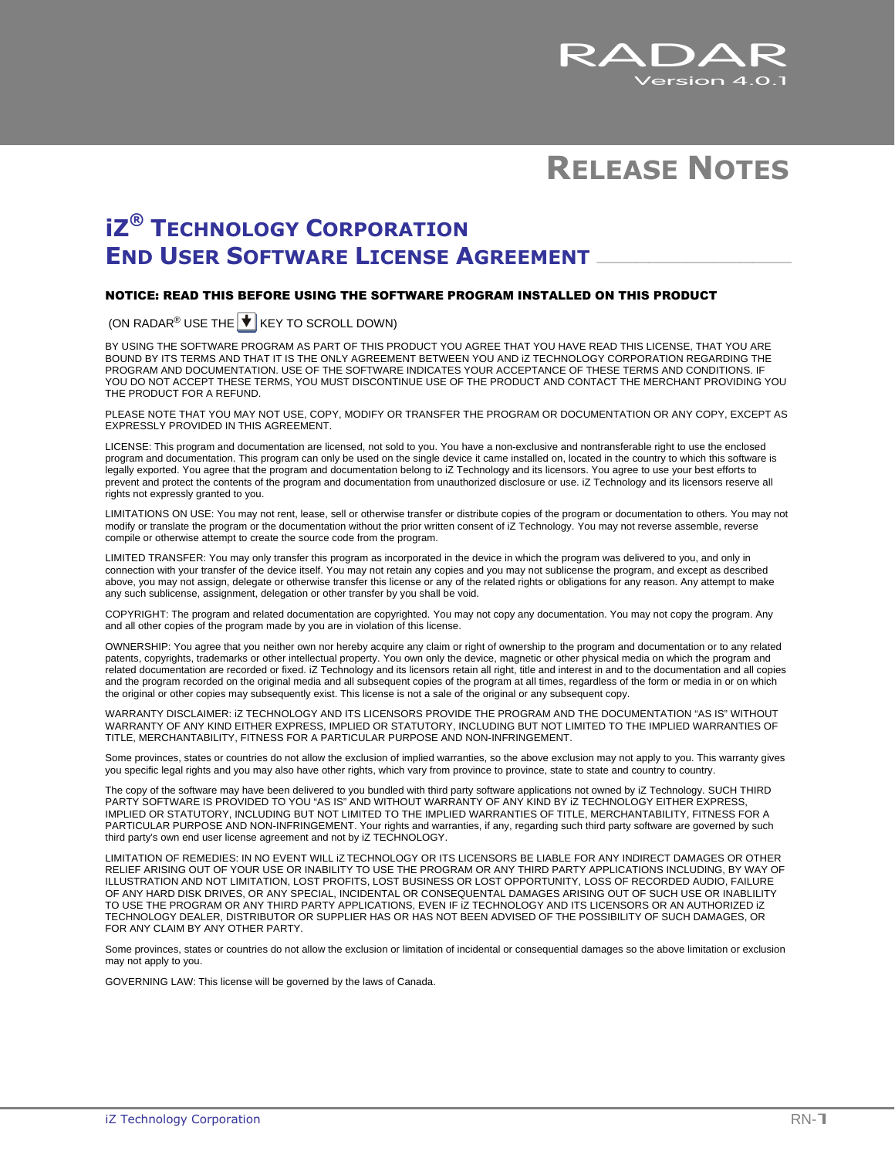

# **RELEASE NOTES**

# **iZ ® TECHNOLOGY CORPORATION END USER SOFTWARE LICENSE AGREEMENT \_\_\_\_\_\_\_\_\_\_\_\_\_\_\_**

#### **NOTICE: READ THIS BEFORE USING THE SOFTWARE PROGRAM INSTALLED ON THIS PRODUCT**

(ON RADAR<sup>®</sup> USE THE  $\blacktriangledown$  KEY TO SCROLL DOWN)

BY USING THE SOFTWARE PROGRAM AS PART OF THIS PRODUCT YOU AGREE THAT YOU HAVE READ THIS LICENSE, THAT YOU ARE BOUND BY ITS TERMS AND THAT IT IS THE ONLY AGREEMENT BETWEEN YOU AND iZ TECHNOLOGY CORPORATION REGARDING THE PROGRAM AND DOCUMENTATION. USE OF THE SOFTWARE INDICATES YOUR ACCEPTANCE OF THESE TERMS AND CONDITIONS. IF YOU DO NOT ACCEPT THESE TERMS, YOU MUST DISCONTINUE USE OF THE PRODUCT AND CONTACT THE MERCHANT PROVIDING YOU THE PRODUCT FOR A REFUND.

PLEASE NOTE THAT YOU MAY NOT USE, COPY, MODIFY OR TRANSFER THE PROGRAM OR DOCUMENTATION OR ANY COPY, EXCEPT AS EXPRESSLY PROVIDED IN THIS AGREEMENT.

LICENSE: This program and documentation are licensed, not sold to you. You have a non-exclusive and nontransferable right to use the enclosed program and documentation. This program can only be used on the single device it came installed on, located in the country to which this software is legally exported. You agree that the program and documentation belong to iZ Technology and its licensors. You agree to use your best efforts to prevent and protect the contents of the program and documentation from unauthorized disclosure or use. iZ Technology and its licensors reserve all rights not expressly granted to you.

LIMITATIONS ON USE: You may not rent, lease, sell or otherwise transfer or distribute copies of the program or documentation to others. You may not modify or translate the program or the documentation without the prior written consent of iZ Technology. You may not reverse assemble, reverse compile or otherwise attempt to create the source code from the program.

LIMITED TRANSFER: You may only transfer this program as incorporated in the device in which the program was delivered to you, and only in connection with your transfer of the device itself. You may not retain any copies and you may not sublicense the program, and except as described above, you may not assign, delegate or otherwise transfer this license or any of the related rights or obligations for any reason. Any attempt to make any such sublicense, assignment, delegation or other transfer by you shall be void.

COPYRIGHT: The program and related documentation are copyrighted. You may not copy any documentation. You may not copy the program. Any and all other copies of the program made by you are in violation of this license.

OWNERSHIP: You agree that you neither own nor hereby acquire any claim or right of ownership to the program and documentation or to any related patents, copyrights, trademarks or other intellectual property. You own only the device, magnetic or other physical media on which the program and related documentation are recorded or fixed. iZ Technology and its licensors retain all right, title and interest in and to the documentation and all copies and the program recorded on the original media and all subsequent copies of the program at all times, regardless of the form or media in or on which the original or other copies may subsequently exist. This license is not a sale of the original or any subsequent copy.

WARRANTY DISCLAIMER: iZ TECHNOLOGY AND ITS LICENSORS PROVIDE THE PROGRAM AND THE DOCUMENTATION "AS IS" WITHOUT WARRANTY OF ANY KIND EITHER EXPRESS, IMPLIED OR STATUTORY, INCLUDING BUT NOT LIMITED TO THE IMPLIED WARRANTIES OF TITLE, MERCHANTABILITY, FITNESS FOR A PARTICULAR PURPOSE AND NON-INFRINGEMENT.

Some provinces, states or countries do not allow the exclusion of implied warranties, so the above exclusion may not apply to you. This warranty gives you specific legal rights and you may also have other rights, which vary from province to province, state to state and country to country.

The copy of the software may have been delivered to you bundled with third party software applications not owned by iZ Technology. SUCH THIRD PARTY SOFTWARE IS PROVIDED TO YOU "AS IS" AND WITHOUT WARRANTY OF ANY KIND BY iZ TECHNOLOGY EITHER EXPRESS, IMPLIED OR STATUTORY, INCLUDING BUT NOT LIMITED TO THE IMPLIED WARRANTIES OF TITLE, MERCHANTABILITY, FITNESS FOR A PARTICULAR PURPOSE AND NON-INFRINGEMENT. Your rights and warranties, if any, regarding such third party software are governed by such third party's own end user license agreement and not by iZ TECHNOLOGY.

LIMITATION OF REMEDIES: IN NO EVENT WILL iZ TECHNOLOGY OR ITS LICENSORS BE LIABLE FOR ANY INDIRECT DAMAGES OR OTHER RELIEF ARISING OUT OF YOUR USE OR INABILITY TO USE THE PROGRAM OR ANY THIRD PARTY APPLICATIONS INCLUDING, BY WAY OF ILLUSTRATION AND NOT LIMITATION, LOST PROFITS, LOST BUSINESS OR LOST OPPORTUNITY, LOSS OF RECORDED AUDIO, FAILURE OF ANY HARD DISK DRIVES, OR ANY SPECIAL, INCIDENTAL OR CONSEQUENTAL DAMAGES ARISING OUT OF SUCH USE OR INABLILITY TO USE THE PROGRAM OR ANY THIRD PARTY APPLICATIONS, EVEN IF iZ TECHNOLOGY AND ITS LICENSORS OR AN AUTHORIZED iZ TECHNOLOGY DEALER, DISTRIBUTOR OR SUPPLIER HAS OR HAS NOT BEEN ADVISED OF THE POSSIBILITY OF SUCH DAMAGES, OR FOR ANY CLAIM BY ANY OTHER PARTY.

Some provinces, states or countries do not allow the exclusion or limitation of incidental or consequential damages so the above limitation or exclusion may not apply to you.

GOVERNING LAW: This license will be governed by the laws of Canada.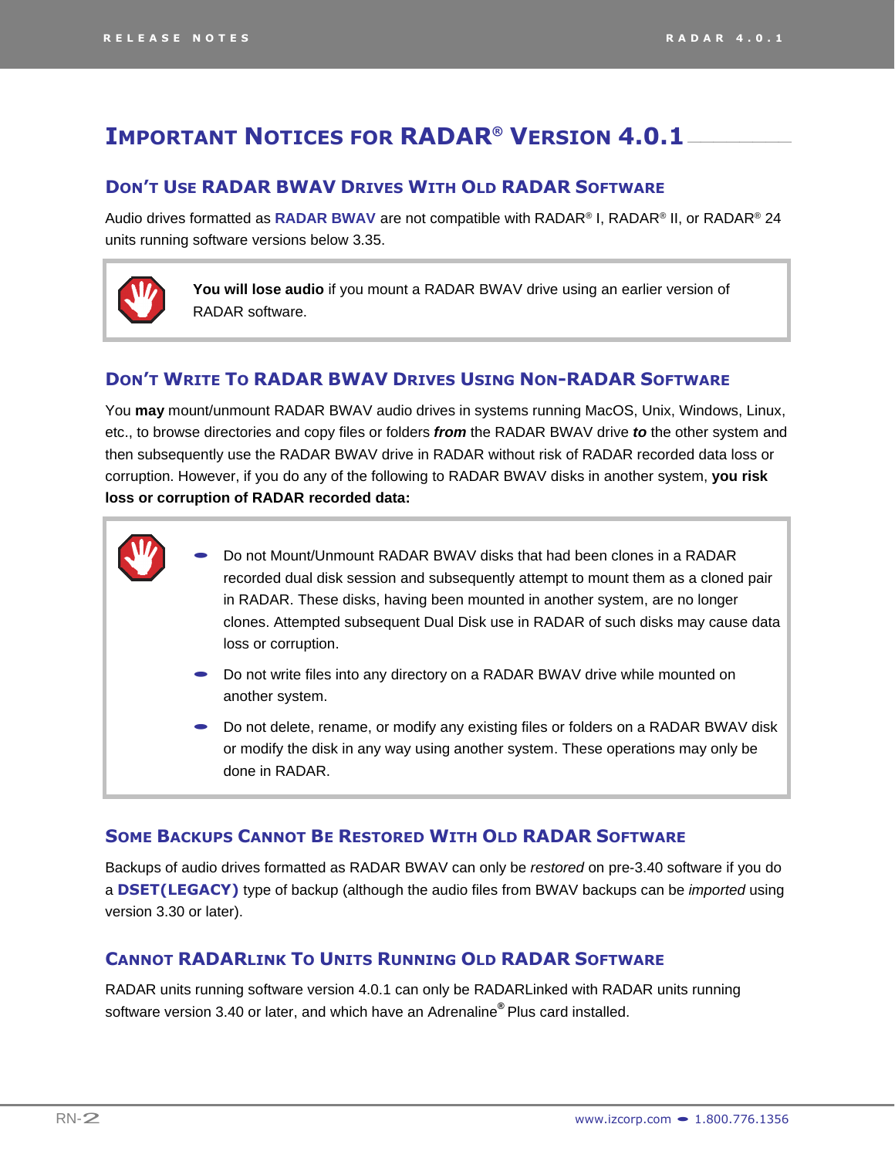# **IMPORTANT NOTICES FOR RADAR® VERSION 4.0.1\_\_\_\_\_\_\_\_**

# **DON'T USE RADAR BWAV DRIVES WITH OLD RADAR SOFTWARE**

Audio drives formatted as **RADAR BWAV** are not compatible with RADAR® I, RADAR® II, or RADAR® 24 units running software versions below 3.35.



**You will lose audio** if you mount a RADAR BWAV drive using an earlier version of RADAR software.

# **DON'T WRITE TO RADAR BWAV DRIVES USING NON-RADAR SOFTWARE**

You **may** mount/unmount RADAR BWAV audio drives in systems running MacOS, Unix, Windows, Linux, etc., to browse directories and copy files or folders *from* the RADAR BWAV drive *to* the other system and then subsequently use the RADAR BWAV drive in RADAR without risk of RADAR recorded data loss or corruption. However, if you do any of the following to RADAR BWAV disks in another system, **you risk loss or corruption of RADAR recorded data:**



- Do not write files into any directory on a RADAR BWAV drive while mounted on another system.
- Do not delete, rename, or modify any existing files or folders on a RADAR BWAV disk or modify the disk in any way using another system. These operations may only be done in RADAR.

## **SOME BACKUPS CANNOT BE RESTORED WITH OLD RADAR SOFTWARE**

Backups of audio drives formatted as RADAR BWAV can only be *restored* on pre-3.40 software if you do a **DSET(LEGACY)** type of backup (although the audio files from BWAV backups can be *imported* using version 3.30 or later).

# **CANNOT RADARLINK TO UNITS RUNNING OLD RADAR SOFTWARE**

RADAR units running software version 4.0.1 can only be RADARLinked with RADAR units running software version 3.40 or later, and which have an Adrenaline**®** Plus card installed.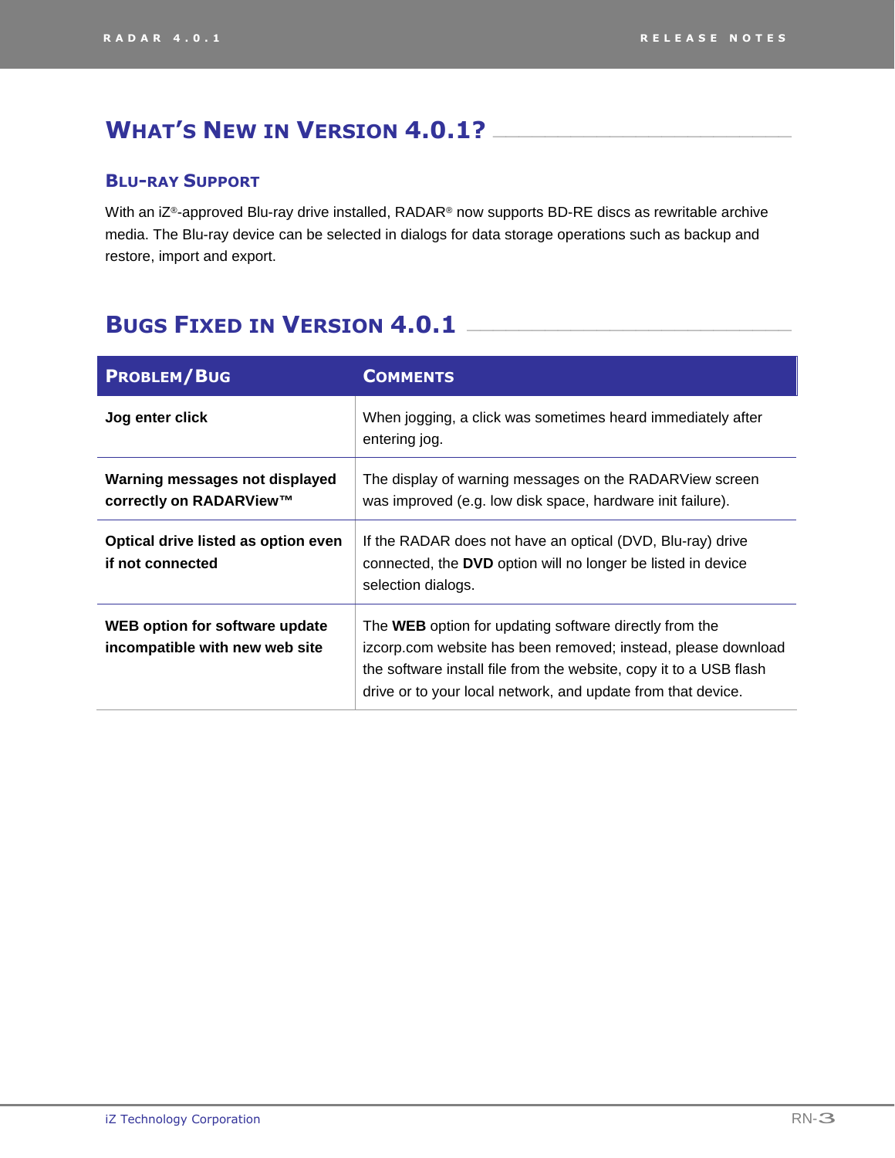# **WHAT'S NEW IN VERSION 4.0.1? \_\_\_\_\_\_\_\_\_\_\_\_\_\_\_\_\_\_\_\_\_\_\_**

### **BLU-RAY SUPPORT**

With an iZ®-approved Blu-ray drive installed, RADAR® now supports BD-RE discs as rewritable archive media. The Blu-ray device can be selected in dialogs for data storage operations such as backup and restore, import and export.

# **BUGS FIXED IN VERSION 4.0.1 \_\_\_\_\_\_\_\_\_\_\_\_\_\_\_\_\_\_\_\_\_\_\_\_\_**

| <b>PROBLEM/BUG</b>                                               | <b>COMMENTS</b>                                                                                                                                                                                                                                               |
|------------------------------------------------------------------|---------------------------------------------------------------------------------------------------------------------------------------------------------------------------------------------------------------------------------------------------------------|
| Jog enter click                                                  | When jogging, a click was sometimes heard immediately after<br>entering jog.                                                                                                                                                                                  |
| Warning messages not displayed<br>correctly on RADARView™        | The display of warning messages on the RADARView screen<br>was improved (e.g. low disk space, hardware init failure).                                                                                                                                         |
| Optical drive listed as option even<br>if not connected          | If the RADAR does not have an optical (DVD, Blu-ray) drive<br>connected, the DVD option will no longer be listed in device<br>selection dialogs.                                                                                                              |
| WEB option for software update<br>incompatible with new web site | The WEB option for updating software directly from the<br>izcorp.com website has been removed; instead, please download<br>the software install file from the website, copy it to a USB flash<br>drive or to your local network, and update from that device. |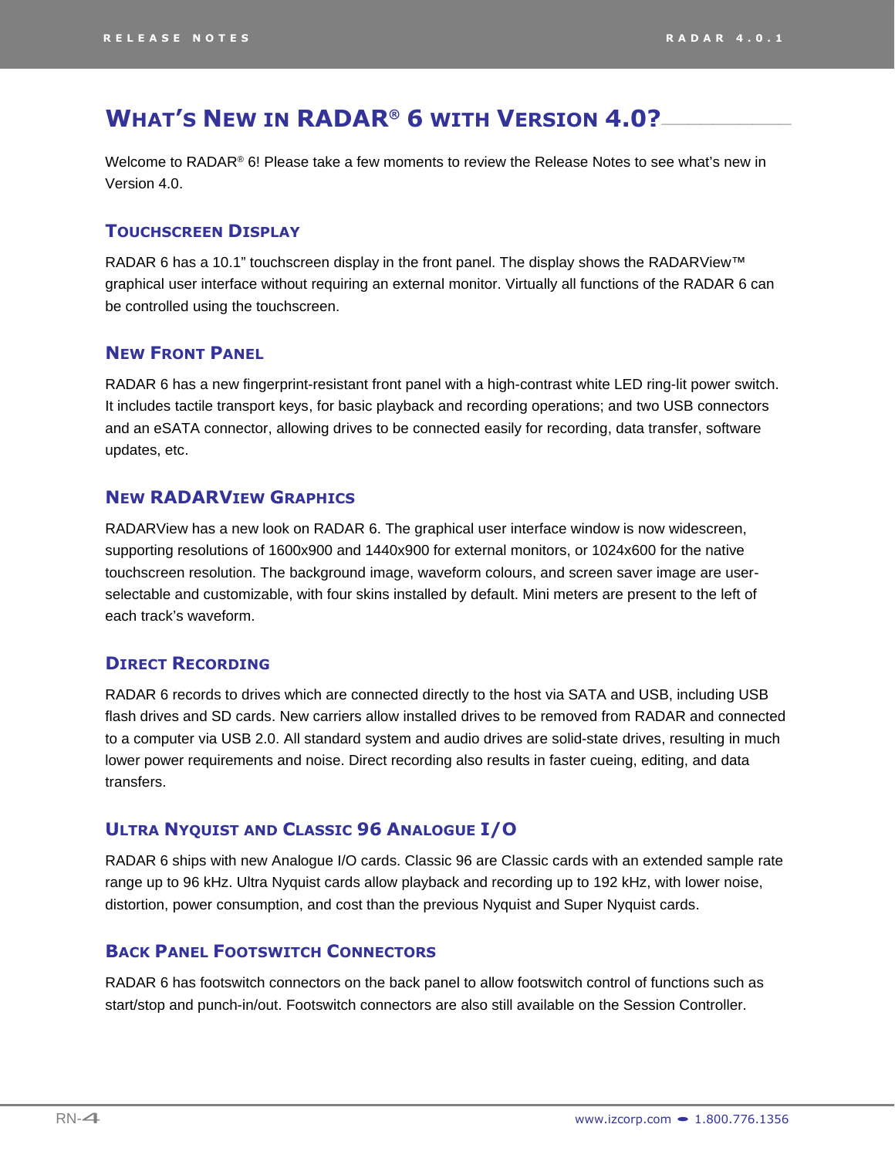# **WHAT'S NEW IN RADAR® 6 WITH VERSION 4.0?\_\_\_\_\_\_\_\_\_\_**

Welcome to RADAR<sup>®</sup> 6! Please take a few moments to review the Release Notes to see what's new in Version 4.0.

#### **TOUCHSCREEN DISPLAY**

RADAR 6 has a 10.1" touchscreen display in the front panel. The display shows the RADARView™ graphical user interface without requiring an external monitor. Virtually all functions of the RADAR 6 can be controlled using the touchscreen.

## **NEW FRONT PANEL**

RADAR 6 has a new fingerprint-resistant front panel with a high-contrast white LED ring-lit power switch. It includes tactile transport keys, for basic playback and recording operations; and two USB connectors and an eSATA connector, allowing drives to be connected easily for recording, data transfer, software updates, etc.

#### **NEW RADARVIEW GRAPHICS**

RADARView has a new look on RADAR 6. The graphical user interface window is now widescreen, supporting resolutions of 1600x900 and 1440x900 for external monitors, or 1024x600 for the native touchscreen resolution. The background image, waveform colours, and screen saver image are userselectable and customizable, with four skins installed by default. Mini meters are present to the left of each track's waveform.

#### **DIRECT RECORDING**

RADAR 6 records to drives which are connected directly to the host via SATA and USB, including USB flash drives and SD cards. New carriers allow installed drives to be removed from RADAR and connected to a computer via USB 2.0. All standard system and audio drives are solid-state drives, resulting in much lower power requirements and noise. Direct recording also results in faster cueing, editing, and data transfers.

#### **ULTRA NYQUIST AND CLASSIC 96 ANALOGUE I/O**

RADAR 6 ships with new Analogue I/O cards. Classic 96 are Classic cards with an extended sample rate range up to 96 kHz. Ultra Nyquist cards allow playback and recording up to 192 kHz, with lower noise, distortion, power consumption, and cost than the previous Nyquist and Super Nyquist cards.

### **BACK PANEL FOOTSWITCH CONNECTORS**

RADAR 6 has footswitch connectors on the back panel to allow footswitch control of functions such as start/stop and punch-in/out. Footswitch connectors are also still available on the Session Controller.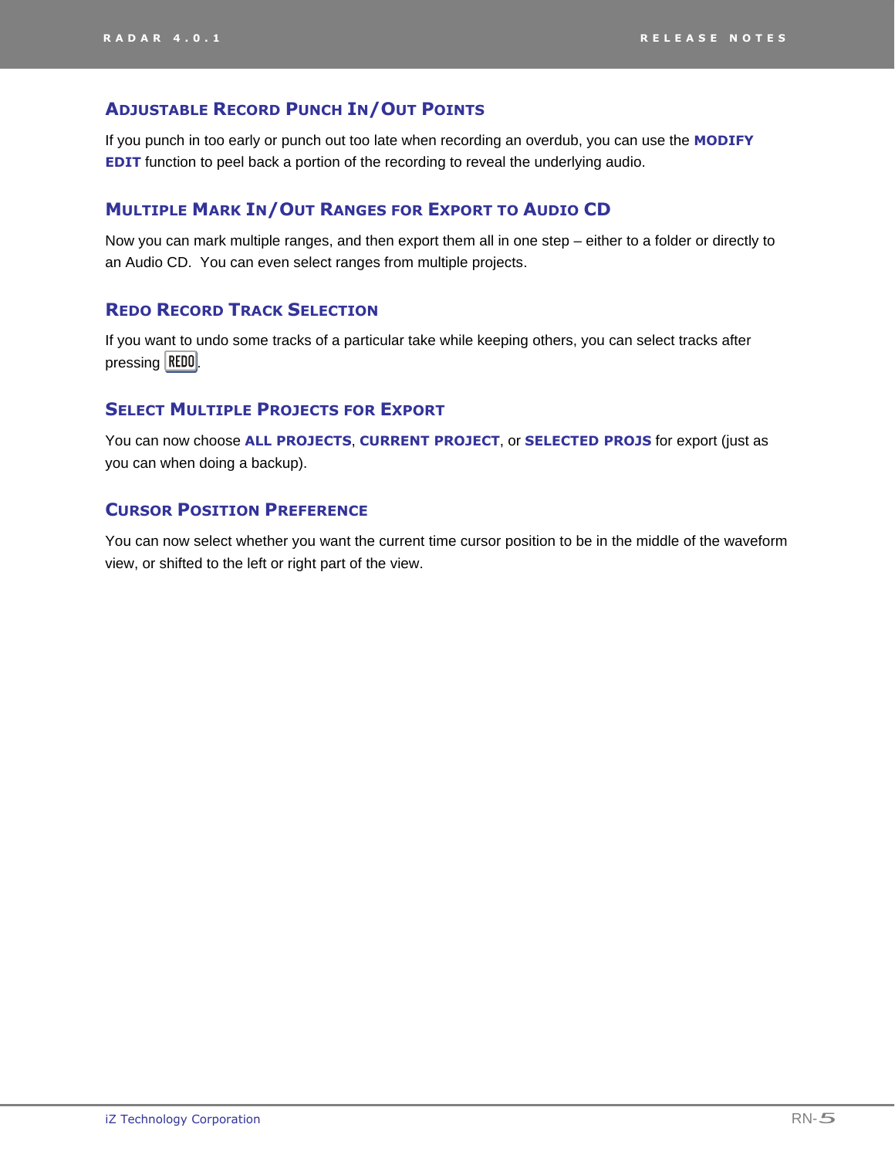### **ADJUSTABLE RECORD PUNCH IN/OUT POINTS**

If you punch in too early or punch out too late when recording an overdub, you can use the **MODIFY EDIT** function to peel back a portion of the recording to reveal the underlying audio.

### **MULTIPLE MARK IN/OUT RANGES FOR EXPORT TO AUDIO CD**

Now you can mark multiple ranges, and then export them all in one step – either to a folder or directly to an Audio CD. You can even select ranges from multiple projects.

## **REDO RECORD TRACK SELECTION**

If you want to undo some tracks of a particular take while keeping others, you can select tracks after pressing  $REDO$ .

## **SELECT MULTIPLE PROJECTS FOR EXPORT**

You can now choose **ALL PROJECTS**, **CURRENT PROJECT**, or **SELECTED PROJS** for export (just as you can when doing a backup).

## **CURSOR POSITION PREFERENCE**

You can now select whether you want the current time cursor position to be in the middle of the waveform view, or shifted to the left or right part of the view.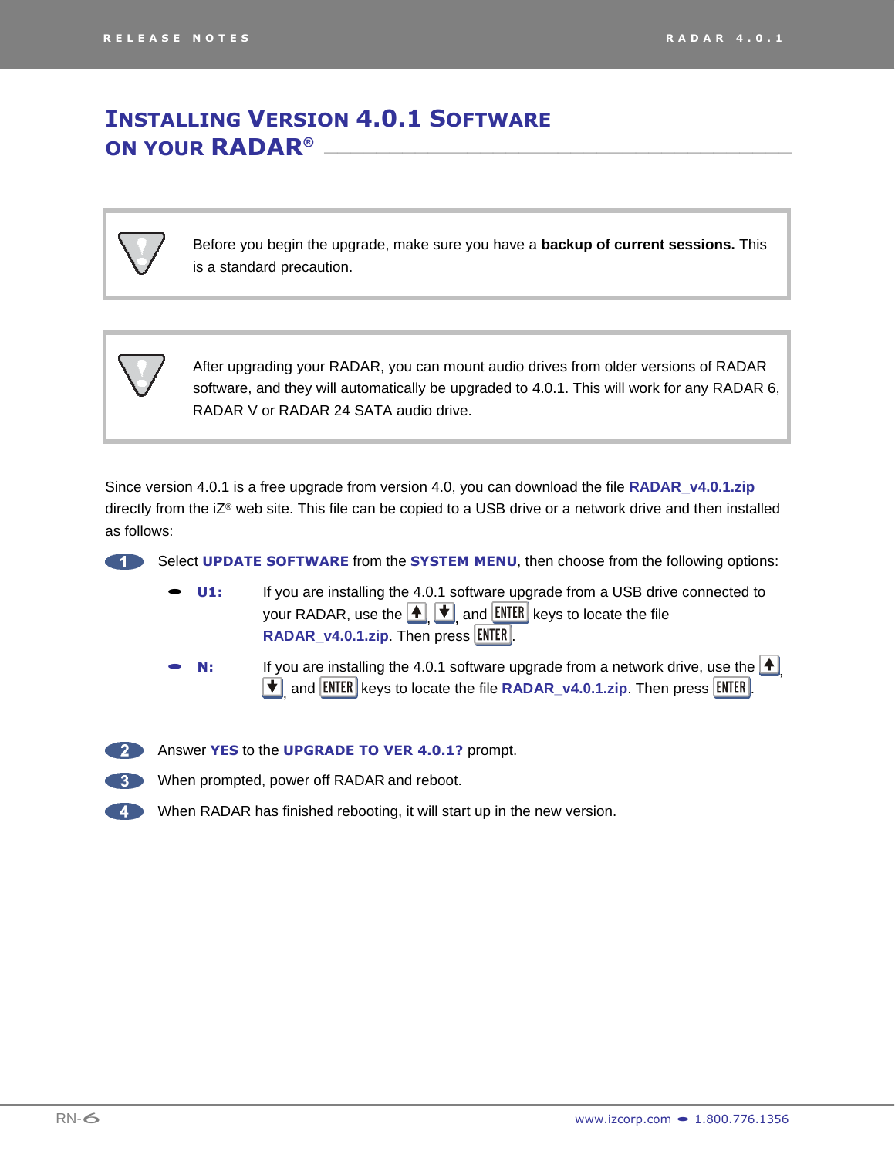# **INSTALLING VERSION 4.0.1 SOFTWARE ON YOUR RADAR® \_\_\_\_\_\_\_\_\_\_\_\_\_\_\_\_\_\_\_\_\_\_\_\_\_\_\_\_\_\_\_\_\_\_\_\_**



Before you begin the upgrade, make sure you have a **backup of current sessions.** This is a standard precaution.



After upgrading your RADAR, you can mount audio drives from older versions of RADAR software, and they will automatically be upgraded to 4.0.1. This will work for any RADAR 6, RADAR V or RADAR 24 SATA audio drive.

Since version 4.0.1 is a free upgrade from version 4.0, you can download the file **RADAR\_v4.0.1.zip** directly from the iZ® web site. This file can be copied to a USB drive or a network drive and then installed as follows:

Select **UPDATE SOFTWARE** from the **SYSTEM MENU**, then choose from the following options:

- **U1:** If you are installing the 4.0.1 software upgrade from a USB drive connected to your RADAR, use the  $\blacktriangleleft$ ,  $\blacktriangledown$ , and  $\textsf{ENTER}$  keys to locate the file  $RADAR_v4.0.1.\n\n**zip**. Then press  $|\text{ENTER}|$ .$
- **N:** If you are installing the 4.0.1 software upgrade from a network drive, use the **1**, <sub>,</sub> and <mark>LNTER]</mark> keys to locate the file RADAR\_v4.0.1.zip. Then press LENTER].



Answer **YES** to the **UPGRADE TO VER 4.0.1?** prompt.

**3** When prompted, power off RADAR and reboot.

**4. When RADAR has finished rebooting, it will start up in the new version.**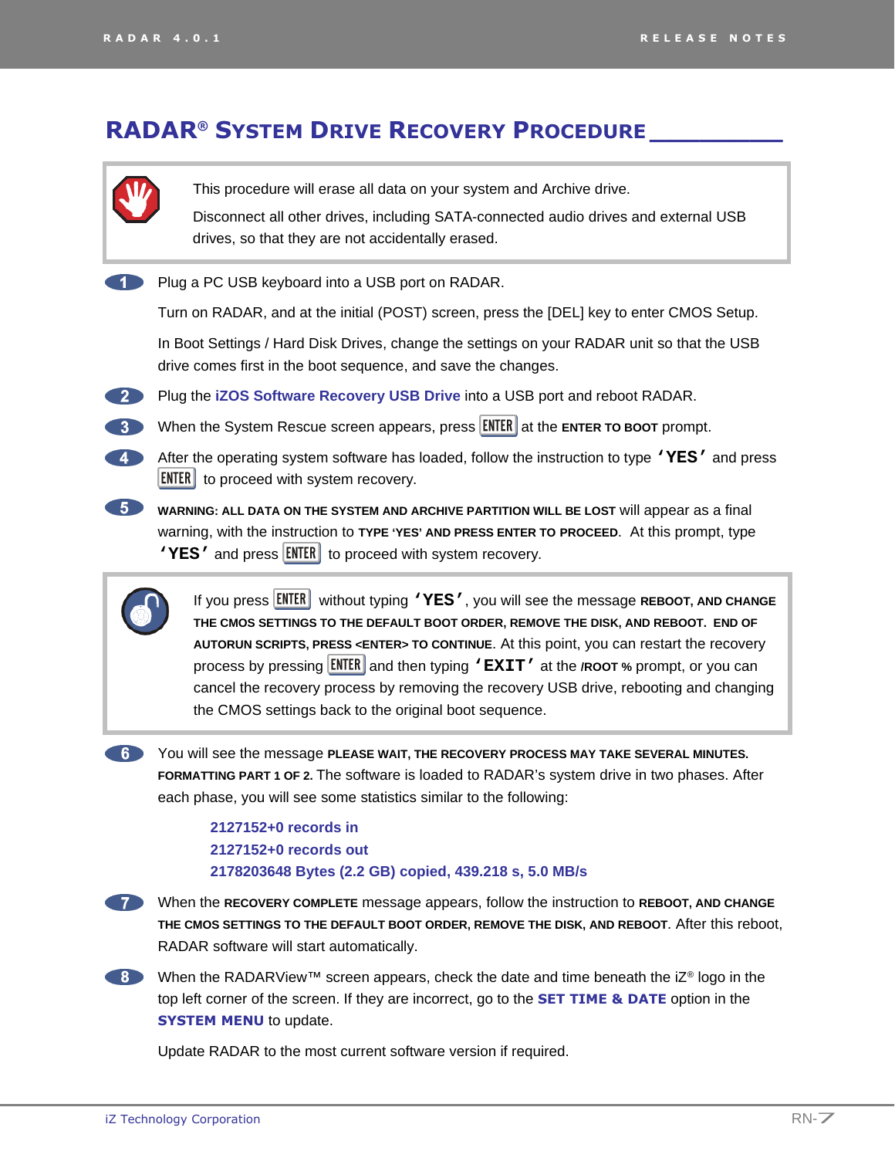# **RADAR® SYSTEM DRIVE RECOVERY PROCEDURE \_\_\_\_\_\_\_\_**



This procedure will erase all data on your system and Archive drive.

Disconnect all other drives, including SATA-connected audio drives and external USB drives, so that they are not accidentally erased.

**Plug a PC USB keyboard into a USB port on RADAR.** 

Turn on RADAR, and at the initial (POST) screen, press the [DEL] key to enter CMOS Setup.

In Boot Settings / Hard Disk Drives, change the settings on your RADAR unit so that the USB drive comes first in the boot sequence, and save the changes.



When the System Rescue screen appears, press **ENTER** at the **ENTER TO BOOT** prompt.

After the operating system software has loaded, follow the instruction to type **'YES'** and press  **to proceed with system recovery.** 

**WARNING: ALL DATA ON THE SYSTEM AND ARCHIVE PARTITION WILL BE LOST** will appear as a final warning, with the instruction to **TYPE 'YES' AND PRESS ENTER TO PROCEED**. At this prompt, type **'YES'** and press **ENTER** to proceed with system recovery.

> If you press without typing **'YES'**, you will see the message **REBOOT, AND CHANGE THE CMOS SETTINGS TO THE DEFAULT BOOT ORDER, REMOVE THE DISK, AND REBOOT. END OF AUTORUN SCRIPTS, PRESS <ENTER> TO CONTINUE**. At this point, you can restart the recovery process by pressing **ENTER** and then typing **'EXIT'** at the **/ROOT** % prompt, or you can cancel the recovery process by removing the recovery USB drive, rebooting and changing the CMOS settings back to the original boot sequence.

You will see the message **PLEASE WAIT, THE RECOVERY PROCESS MAY TAKE SEVERAL MINUTES. FORMATTING PART 1 OF 2.** The software is loaded to RADAR's system drive in two phases. After each phase, you will see some statistics similar to the following:

> **2127152+0 records in 2127152+0 records out 2178203648 Bytes (2.2 GB) copied, 439.218 s, 5.0 MB/s**



When the **RECOVERY COMPLETE** message appears, follow the instruction to **REBOOT, AND CHANGE THE CMOS SETTINGS TO THE DEFAULT BOOT ORDER, REMOVE THE DISK, AND REBOOT**. After this reboot, RADAR software will start automatically.

8 When the RADARView™ screen appears, check the date and time beneath the iZ® logo in the top left corner of the screen. If they are incorrect, go to the **SET TIME & DATE** option in the **SYSTEM MENU** to update.

Update RADAR to the most current software version if required.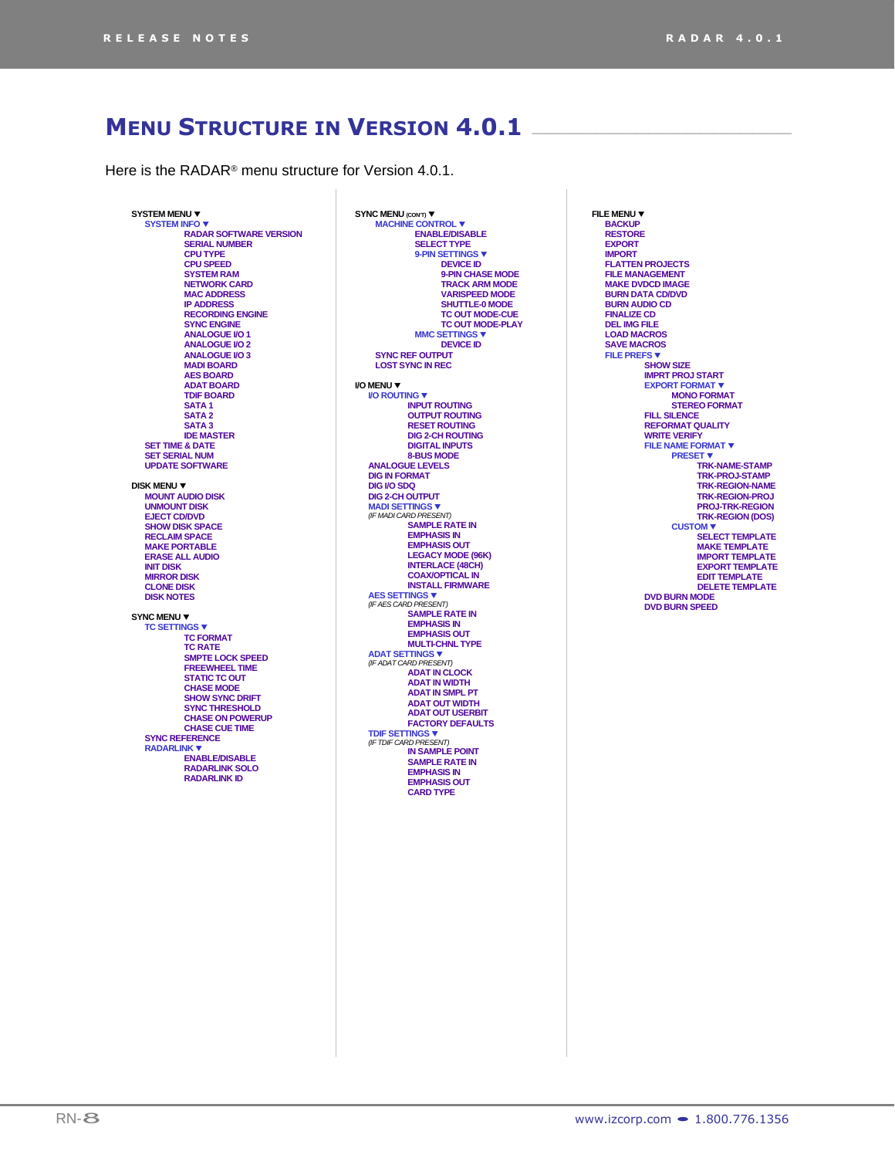# **MENU STRUCTURE IN VERSION 4.0.1 \_\_\_\_\_\_\_\_\_\_\_\_\_\_\_\_\_\_\_\_**

Here is the RADAR® menu structure for Version 4.0.1.

**SYSTEM MENU**  $\blacktriangledown$ **SYSTEM INFO RADAR SOFTWARE VERSION SERIAL NUMBER CPU TYPE CPU SPEED SYSTEM RAM NETWORK CARD MAC ADDRESS IP ADDRESS RECORDING ENGINE SYNC ENGINE ANALOGUE I/O 1 ANALOGUE I/O 2 ANALOGUE I/O 3 MADI BOARD AES BOARD ADAT BOARD TDIF BOARD SATA 1 SATA 2 SATA 3 IDE MASTER SET TIME & DATE SET SERIAL NUM UPDATE SOFTWARE DISK MENU** q **MOUNT AUDIO DISK UNMOUNT DISK EJECT CD/DVD SHOW DISK SPACE RECLAIM SPACE MAKE PORTABLE ERASE ALL AUDIO INIT DISK MIRROR DISK CLONE DISK DISK NOTES SYNC MENU**  $\blacktriangledown$ **TC SETTINGS TC FORMAT TC RATE SMPTE LOCK SPEED FREEWHEEL TIME STATIC TC OUT CHASE MODE SHOW SYNC DRIFT SYNC THRESHOLD CHASE ON POWERUP CHASE CUE TIME SYNC REFERENCE RADARLINK ENABLE/DISABLE RADARLINK SOLO RADARLINK ID**

**MACHINE CONTROL** q **ENABLE/DISABLE SELECT TYPE** 9-PIN SETTINGS  $\blacktriangledown$ **DEVICE ID 9-PIN CHASE MODE TRACK ARM MODE VARISPEED MODE SHUTTLE-0 MODE TC OUT MODE-CUE TC OUT MODE-PLAY MMC SETTINGS DEVICE ID SYNC REF OUTPUT LOST SYNC IN REC I/O MENU T I/O ROUTING INPUT ROUTING OUTPUT ROUTING RESET ROUTING DIG 2-CH ROUTING DIGITAL INPUTS 8-BUS MODE ANALOGUE LEVELS DIG IN FORMAT DIG I/O SDQ DIG 2-CH OUTPUT MADI SETTINGS** *(IF MADI CARD PRESENT)* **SAMPLE RATE IN EMPHASIS IN EMPHASIS OUT**

**SYNC MENU** *(CON'T)* 

**LEGACY MODE (96K) INTERLACE (48CH) COAX/OPTICAL IN INSTALL FIRMWARE AES SETTINGS** *(IF AES CARD PRESENT)* **SAMPLE RATE IN EMPHASIS IN EMPHASIS OUT MULTI-CHNL TYPE ADAT SETTINGS** *(IF ADAT CARD PRESENT)* **ADAT IN CLOCK ADAT IN WIDTH ADAT IN SMPL PT ADAT OUT WIDTH ADAT OUT USERBIT FACTORY DEFAULTS TDIF SETTINGS** *(IF TDIF CARD PRESENT)* **IN SAMPLE POINT SAMPLE RATE IN EMPHASIS IN EMPHASIS OUT**

**CARD TYPE**

**FILE MENU**  $\blacktriangledown$ **BACKUP RESTORE EXPORT IMPORT FLATTEN PROJECTS FILE MANAGEMENT MAKE DVDCD IMAGE BURN DATA CD/DVD BURN AUDIO CD FINALIZE CD DEL IMG FILE LOAD MACROS SAVE MACROS FILE PREFS SHOW SIZE IMPRT PROJ START EXPORT FORMAT MONO FORMAT STEREO FORMAT FILL SILENCE REFORMAT QUALITY WRITE VERIFY FILE NAME FORMAT** q **PRESET**  $\overline{\mathbf{v}}$ **TRK-NAME-STAMP TRK-PROJ-STAMP TRK-REGION-NAME TRK-REGION-PROJ PROJ-TRK-REGION TRK-REGION (DOS) CUSTOM** q **SELECT TEMPLATE MAKE TEMPLATE IMPORT TEMPLATE EXPORT TEMPLATE EDIT TEMPLATE DELETE TEMPLATE DVD BURN MODE DVD BURN SPEED**